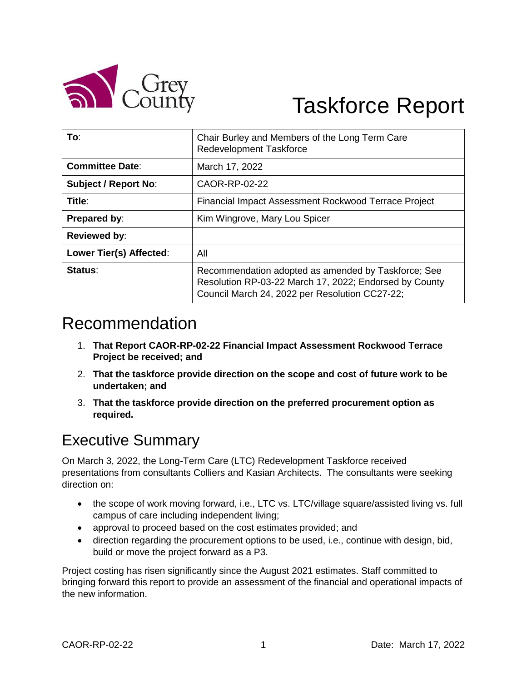

# Taskforce Report

| To:                         | Chair Burley and Members of the Long Term Care<br>Redevelopment Taskforce                                                                                       |  |  |
|-----------------------------|-----------------------------------------------------------------------------------------------------------------------------------------------------------------|--|--|
| <b>Committee Date:</b>      | March 17, 2022                                                                                                                                                  |  |  |
| <b>Subject / Report No:</b> | CAOR-RP-02-22                                                                                                                                                   |  |  |
| Title:                      | Financial Impact Assessment Rockwood Terrace Project                                                                                                            |  |  |
| Prepared by:                | Kim Wingrove, Mary Lou Spicer                                                                                                                                   |  |  |
| <b>Reviewed by:</b>         |                                                                                                                                                                 |  |  |
| Lower Tier(s) Affected:     | All                                                                                                                                                             |  |  |
| Status:                     | Recommendation adopted as amended by Taskforce; See<br>Resolution RP-03-22 March 17, 2022; Endorsed by County<br>Council March 24, 2022 per Resolution CC27-22; |  |  |

# Recommendation

- 1. **That Report CAOR-RP-02-22 Financial Impact Assessment Rockwood Terrace Project be received; and**
- 2. **That the taskforce provide direction on the scope and cost of future work to be undertaken; and**
- 3. **That the taskforce provide direction on the preferred procurement option as required.**

## Executive Summary

On March 3, 2022, the Long-Term Care (LTC) Redevelopment Taskforce received presentations from consultants Colliers and Kasian Architects. The consultants were seeking direction on:

- the scope of work moving forward, i.e., LTC vs. LTC/village square/assisted living vs. full campus of care including independent living;
- approval to proceed based on the cost estimates provided; and
- direction regarding the procurement options to be used, i.e., continue with design, bid, build or move the project forward as a P3.

Project costing has risen significantly since the August 2021 estimates. Staff committed to bringing forward this report to provide an assessment of the financial and operational impacts of the new information.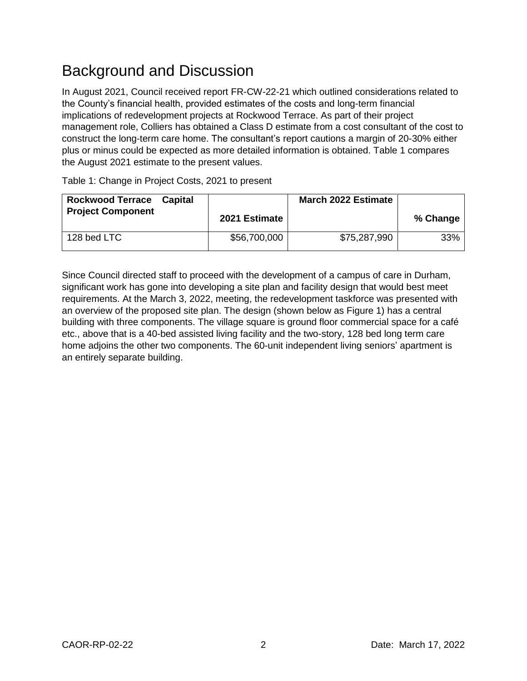# Background and Discussion

In August 2021, Council received report FR-CW-22-21 which outlined considerations related to the County's financial health, provided estimates of the costs and long-term financial implications of redevelopment projects at Rockwood Terrace. As part of their project management role, Colliers has obtained a Class D estimate from a cost consultant of the cost to construct the long-term care home. The consultant's report cautions a margin of 20-30% either plus or minus could be expected as more detailed information is obtained. Table 1 compares the August 2021 estimate to the present values.

| <b>Rockwood Terrace</b><br><b>Project Component</b> | Capital | 2021 Estimate | <b>March 2022 Estimate</b> | % Change |
|-----------------------------------------------------|---------|---------------|----------------------------|----------|
| 128 bed LTC                                         |         | \$56,700,000  | \$75,287,990               | 33%      |

Table 1: Change in Project Costs, 2021 to present

Since Council directed staff to proceed with the development of a campus of care in Durham, significant work has gone into developing a site plan and facility design that would best meet requirements. At the March 3, 2022, meeting, the redevelopment taskforce was presented with an overview of the proposed site plan. The design (shown below as Figure 1) has a central building with three components. The village square is ground floor commercial space for a café etc., above that is a 40-bed assisted living facility and the two-story, 128 bed long term care home adjoins the other two components. The 60-unit independent living seniors' apartment is an entirely separate building.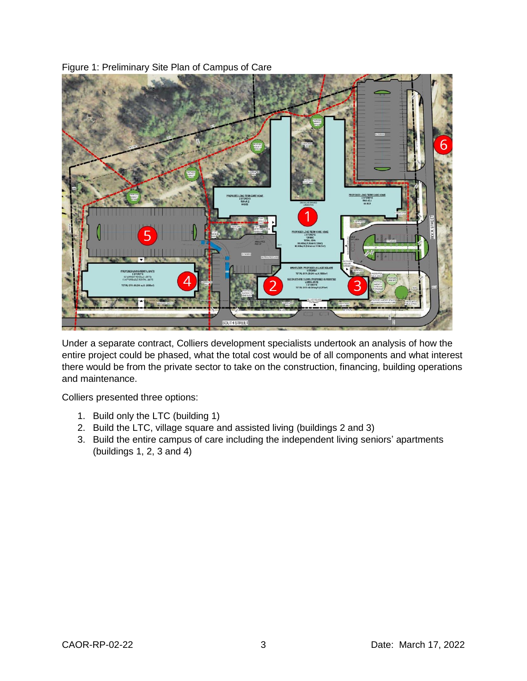

Figure 1: Preliminary Site Plan of Campus of Care

Under a separate contract, Colliers development specialists undertook an analysis of how the entire project could be phased, what the total cost would be of all components and what interest there would be from the private sector to take on the construction, financing, building operations and maintenance.

Colliers presented three options:

- 1. Build only the LTC (building 1)
- 2. Build the LTC, village square and assisted living (buildings 2 and 3)
- 3. Build the entire campus of care including the independent living seniors' apartments (buildings 1, 2, 3 and 4)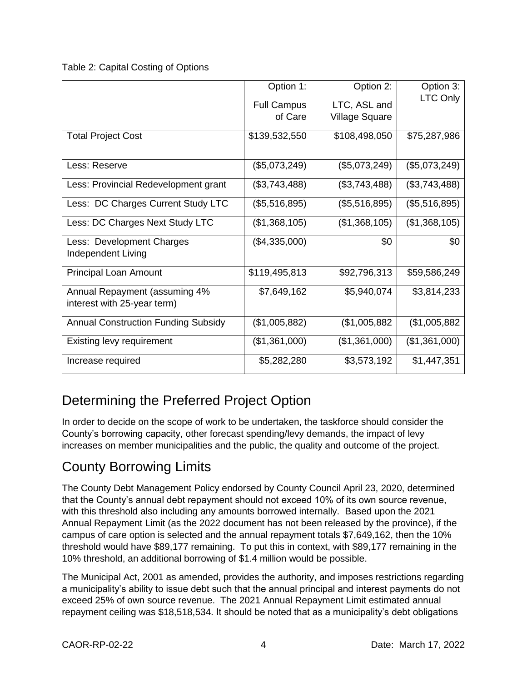Table 2: Capital Costing of Options

|                                            | Option 1:          | Option 2:             | Option 3:     |
|--------------------------------------------|--------------------|-----------------------|---------------|
|                                            | <b>Full Campus</b> | LTC, ASL and          | LTC Only      |
|                                            | of Care            | <b>Village Square</b> |               |
|                                            |                    |                       |               |
| <b>Total Project Cost</b>                  | \$139,532,550      | \$108,498,050         | \$75,287,986  |
|                                            |                    |                       |               |
| Less: Reserve                              | (\$5,073,249)      | (\$5,073,249)         | (\$5,073,249) |
| Less: Provincial Redevelopment grant       | (\$3,743,488)      | (\$3,743,488)         | (\$3,743,488) |
|                                            |                    |                       |               |
| Less: DC Charges Current Study LTC         | (\$5,516,895)      | (\$5,516,895)         | (\$5,516,895) |
| Less: DC Charges Next Study LTC            | (\$1,368,105)      | (\$1,368,105)         | (\$1,368,105) |
| Less: Development Charges                  | (\$4,335,000)      | \$0                   | \$0           |
| Independent Living                         |                    |                       |               |
|                                            |                    |                       |               |
| Principal Loan Amount                      | \$119,495,813      | \$92,796,313          | \$59,586,249  |
| Annual Repayment (assuming 4%              | \$7,649,162        | \$5,940,074           | \$3,814,233   |
| interest with 25-year term)                |                    |                       |               |
|                                            |                    |                       |               |
| <b>Annual Construction Funding Subsidy</b> | (\$1,005,882)      | (\$1,005,882          | (\$1,005,882) |
| Existing levy requirement                  | (\$1,361,000)      | (\$1,361,000)         | (\$1,361,000) |
| Increase required                          | \$5,282,280        | \$3,573,192           | \$1,447,351   |
|                                            |                    |                       |               |

## Determining the Preferred Project Option

In order to decide on the scope of work to be undertaken, the taskforce should consider the County's borrowing capacity, other forecast spending/levy demands, the impact of levy increases on member municipalities and the public, the quality and outcome of the project.

#### County Borrowing Limits

The County Debt Management Policy endorsed by County Council April 23, 2020, determined that the County's annual debt repayment should not exceed 10% of its own source revenue, with this threshold also including any amounts borrowed internally. Based upon the 2021 Annual Repayment Limit (as the 2022 document has not been released by the province), if the campus of care option is selected and the annual repayment totals \$7,649,162, then the 10% threshold would have \$89,177 remaining. To put this in context, with \$89,177 remaining in the 10% threshold, an additional borrowing of \$1.4 million would be possible.

The Municipal Act, 2001 as amended, provides the authority, and imposes restrictions regarding a municipality's ability to issue debt such that the annual principal and interest payments do not exceed 25% of own source revenue. The 2021 Annual Repayment Limit estimated annual repayment ceiling was \$18,518,534. It should be noted that as a municipality's debt obligations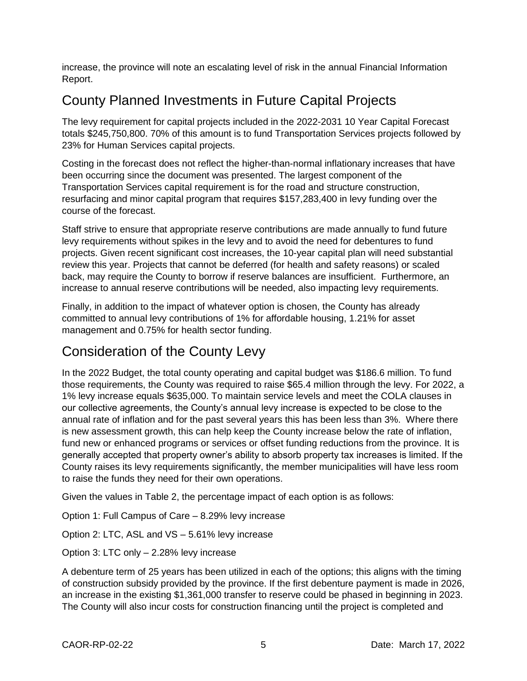increase, the province will note an escalating level of risk in the annual Financial Information Report.

## County Planned Investments in Future Capital Projects

The levy requirement for capital projects included in the 2022-2031 10 Year Capital Forecast totals \$245,750,800. 70% of this amount is to fund Transportation Services projects followed by 23% for Human Services capital projects.

Costing in the forecast does not reflect the higher-than-normal inflationary increases that have been occurring since the document was presented. The largest component of the Transportation Services capital requirement is for the road and structure construction, resurfacing and minor capital program that requires \$157,283,400 in levy funding over the course of the forecast.

Staff strive to ensure that appropriate reserve contributions are made annually to fund future levy requirements without spikes in the levy and to avoid the need for debentures to fund projects. Given recent significant cost increases, the 10-year capital plan will need substantial review this year. Projects that cannot be deferred (for health and safety reasons) or scaled back, may require the County to borrow if reserve balances are insufficient. Furthermore, an increase to annual reserve contributions will be needed, also impacting levy requirements.

Finally, in addition to the impact of whatever option is chosen, the County has already committed to annual levy contributions of 1% for affordable housing, 1.21% for asset management and 0.75% for health sector funding.

#### Consideration of the County Levy

In the 2022 Budget, the total county operating and capital budget was \$186.6 million. To fund those requirements, the County was required to raise \$65.4 million through the levy. For 2022, a 1% levy increase equals \$635,000. To maintain service levels and meet the COLA clauses in our collective agreements, the County's annual levy increase is expected to be close to the annual rate of inflation and for the past several years this has been less than 3%. Where there is new assessment growth, this can help keep the County increase below the rate of inflation, fund new or enhanced programs or services or offset funding reductions from the province. It is generally accepted that property owner's ability to absorb property tax increases is limited. If the County raises its levy requirements significantly, the member municipalities will have less room to raise the funds they need for their own operations.

Given the values in Table 2, the percentage impact of each option is as follows:

Option 1: Full Campus of Care – 8.29% levy increase

Option 2: LTC, ASL and VS – 5.61% levy increase

Option 3: LTC only – 2.28% levy increase

A debenture term of 25 years has been utilized in each of the options; this aligns with the timing of construction subsidy provided by the province. If the first debenture payment is made in 2026, an increase in the existing \$1,361,000 transfer to reserve could be phased in beginning in 2023. The County will also incur costs for construction financing until the project is completed and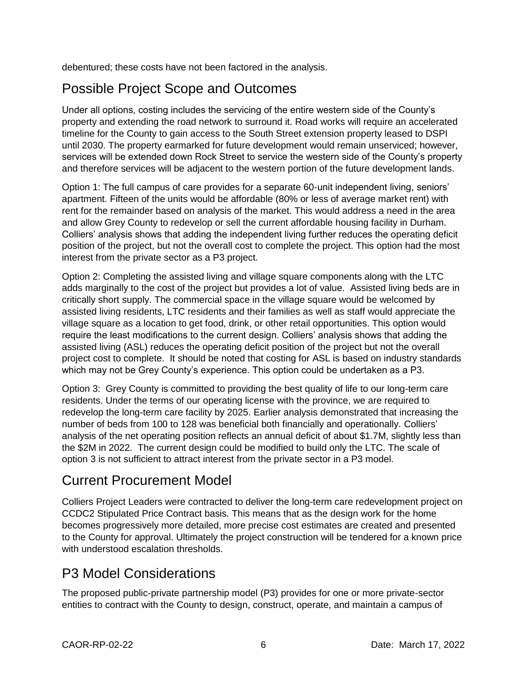debentured; these costs have not been factored in the analysis.

### Possible Project Scope and Outcomes

Under all options, costing includes the servicing of the entire western side of the County's property and extending the road network to surround it. Road works will require an accelerated timeline for the County to gain access to the South Street extension property leased to DSPI until 2030. The property earmarked for future development would remain unserviced; however, services will be extended down Rock Street to service the western side of the County's property and therefore services will be adjacent to the western portion of the future development lands.

Option 1: The full campus of care provides for a separate 60-unit independent living, seniors' apartment. Fifteen of the units would be affordable (80% or less of average market rent) with rent for the remainder based on analysis of the market. This would address a need in the area and allow Grey County to redevelop or sell the current affordable housing facility in Durham. Colliers' analysis shows that adding the independent living further reduces the operating deficit position of the project, but not the overall cost to complete the project. This option had the most interest from the private sector as a P3 project.

Option 2: Completing the assisted living and village square components along with the LTC adds marginally to the cost of the project but provides a lot of value. Assisted living beds are in critically short supply. The commercial space in the village square would be welcomed by assisted living residents, LTC residents and their families as well as staff would appreciate the village square as a location to get food, drink, or other retail opportunities. This option would require the least modifications to the current design. Colliers' analysis shows that adding the assisted living (ASL) reduces the operating deficit position of the project but not the overall project cost to complete. It should be noted that costing for ASL is based on industry standards which may not be Grey County's experience. This option could be undertaken as a P3.

Option 3: Grey County is committed to providing the best quality of life to our long-term care residents. Under the terms of our operating license with the province, we are required to redevelop the long-term care facility by 2025. Earlier analysis demonstrated that increasing the number of beds from 100 to 128 was beneficial both financially and operationally. Colliers' analysis of the net operating position reflects an annual deficit of about \$1.7M, slightly less than the \$2M in 2022. The current design could be modified to build only the LTC. The scale of option 3 is not sufficient to attract interest from the private sector in a P3 model.

#### Current Procurement Model

Colliers Project Leaders were contracted to deliver the long-term care redevelopment project on CCDC2 Stipulated Price Contract basis. This means that as the design work for the home becomes progressively more detailed, more precise cost estimates are created and presented to the County for approval. Ultimately the project construction will be tendered for a known price with understood escalation thresholds.

#### P3 Model Considerations

The proposed public-private partnership model (P3) provides for one or more private-sector entities to contract with the County to design, construct, operate, and maintain a campus of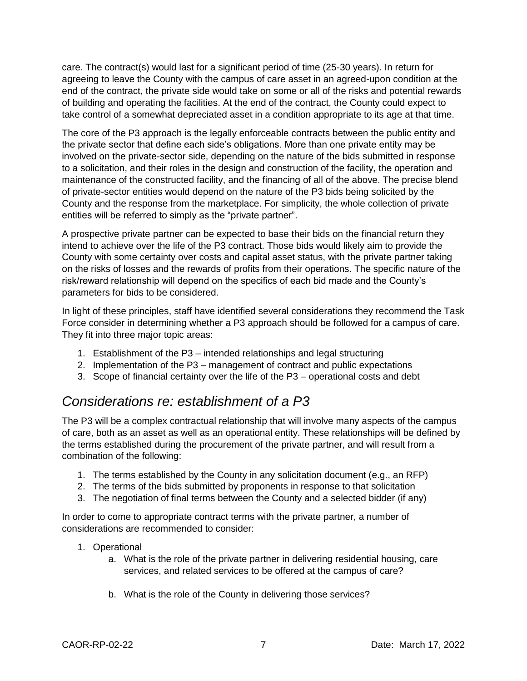care. The contract(s) would last for a significant period of time (25-30 years). In return for agreeing to leave the County with the campus of care asset in an agreed-upon condition at the end of the contract, the private side would take on some or all of the risks and potential rewards of building and operating the facilities. At the end of the contract, the County could expect to take control of a somewhat depreciated asset in a condition appropriate to its age at that time.

The core of the P3 approach is the legally enforceable contracts between the public entity and the private sector that define each side's obligations. More than one private entity may be involved on the private-sector side, depending on the nature of the bids submitted in response to a solicitation, and their roles in the design and construction of the facility, the operation and maintenance of the constructed facility, and the financing of all of the above. The precise blend of private-sector entities would depend on the nature of the P3 bids being solicited by the County and the response from the marketplace. For simplicity, the whole collection of private entities will be referred to simply as the "private partner".

A prospective private partner can be expected to base their bids on the financial return they intend to achieve over the life of the P3 contract. Those bids would likely aim to provide the County with some certainty over costs and capital asset status, with the private partner taking on the risks of losses and the rewards of profits from their operations. The specific nature of the risk/reward relationship will depend on the specifics of each bid made and the County's parameters for bids to be considered.

In light of these principles, staff have identified several considerations they recommend the Task Force consider in determining whether a P3 approach should be followed for a campus of care. They fit into three major topic areas:

- 1. Establishment of the P3 intended relationships and legal structuring
- 2. Implementation of the P3 management of contract and public expectations
- 3. Scope of financial certainty over the life of the P3 operational costs and debt

#### *Considerations re: establishment of a P3*

The P3 will be a complex contractual relationship that will involve many aspects of the campus of care, both as an asset as well as an operational entity. These relationships will be defined by the terms established during the procurement of the private partner, and will result from a combination of the following:

- 1. The terms established by the County in any solicitation document (e.g., an RFP)
- 2. The terms of the bids submitted by proponents in response to that solicitation
- 3. The negotiation of final terms between the County and a selected bidder (if any)

In order to come to appropriate contract terms with the private partner, a number of considerations are recommended to consider:

- 1. Operational
	- a. What is the role of the private partner in delivering residential housing, care services, and related services to be offered at the campus of care?
	- b. What is the role of the County in delivering those services?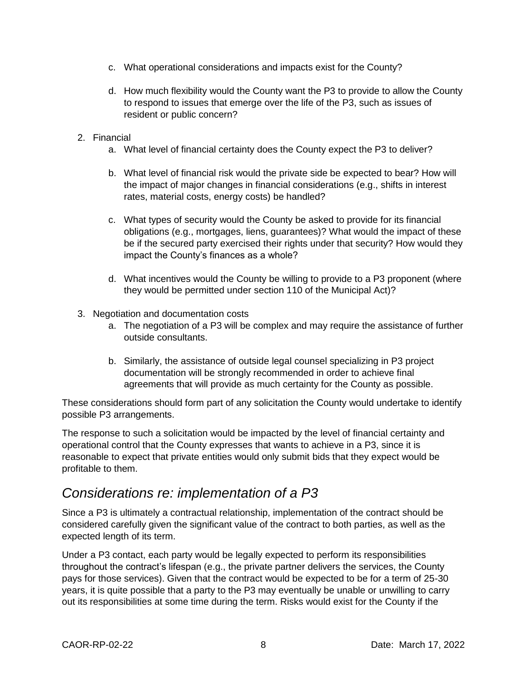- c. What operational considerations and impacts exist for the County?
- d. How much flexibility would the County want the P3 to provide to allow the County to respond to issues that emerge over the life of the P3, such as issues of resident or public concern?
- 2. Financial
	- a. What level of financial certainty does the County expect the P3 to deliver?
	- b. What level of financial risk would the private side be expected to bear? How will the impact of major changes in financial considerations (e.g., shifts in interest rates, material costs, energy costs) be handled?
	- c. What types of security would the County be asked to provide for its financial obligations (e.g., mortgages, liens, guarantees)? What would the impact of these be if the secured party exercised their rights under that security? How would they impact the County's finances as a whole?
	- d. What incentives would the County be willing to provide to a P3 proponent (where they would be permitted under section 110 of the Municipal Act)?
- 3. Negotiation and documentation costs
	- a. The negotiation of a P3 will be complex and may require the assistance of further outside consultants.
	- b. Similarly, the assistance of outside legal counsel specializing in P3 project documentation will be strongly recommended in order to achieve final agreements that will provide as much certainty for the County as possible.

These considerations should form part of any solicitation the County would undertake to identify possible P3 arrangements.

The response to such a solicitation would be impacted by the level of financial certainty and operational control that the County expresses that wants to achieve in a P3, since it is reasonable to expect that private entities would only submit bids that they expect would be profitable to them.

#### *Considerations re: implementation of a P3*

Since a P3 is ultimately a contractual relationship, implementation of the contract should be considered carefully given the significant value of the contract to both parties, as well as the expected length of its term.

Under a P3 contact, each party would be legally expected to perform its responsibilities throughout the contract's lifespan (e.g., the private partner delivers the services, the County pays for those services). Given that the contract would be expected to be for a term of 25-30 years, it is quite possible that a party to the P3 may eventually be unable or unwilling to carry out its responsibilities at some time during the term. Risks would exist for the County if the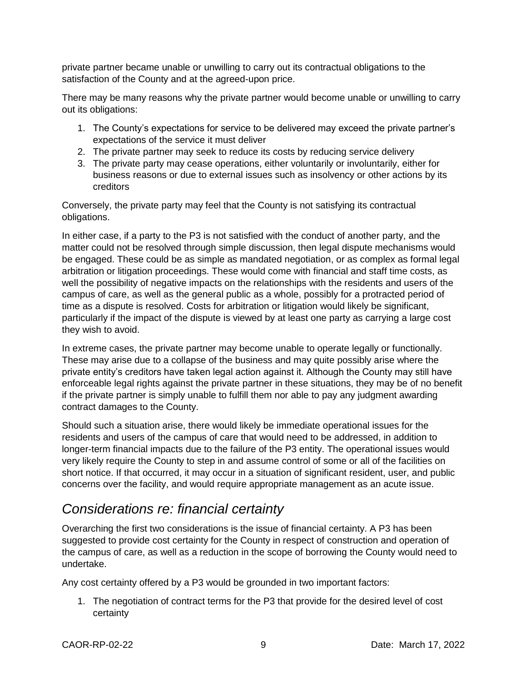private partner became unable or unwilling to carry out its contractual obligations to the satisfaction of the County and at the agreed-upon price.

There may be many reasons why the private partner would become unable or unwilling to carry out its obligations:

- 1. The County's expectations for service to be delivered may exceed the private partner's expectations of the service it must deliver
- 2. The private partner may seek to reduce its costs by reducing service delivery
- 3. The private party may cease operations, either voluntarily or involuntarily, either for business reasons or due to external issues such as insolvency or other actions by its creditors

Conversely, the private party may feel that the County is not satisfying its contractual obligations.

In either case, if a party to the P3 is not satisfied with the conduct of another party, and the matter could not be resolved through simple discussion, then legal dispute mechanisms would be engaged. These could be as simple as mandated negotiation, or as complex as formal legal arbitration or litigation proceedings. These would come with financial and staff time costs, as well the possibility of negative impacts on the relationships with the residents and users of the campus of care, as well as the general public as a whole, possibly for a protracted period of time as a dispute is resolved. Costs for arbitration or litigation would likely be significant, particularly if the impact of the dispute is viewed by at least one party as carrying a large cost they wish to avoid.

In extreme cases, the private partner may become unable to operate legally or functionally. These may arise due to a collapse of the business and may quite possibly arise where the private entity's creditors have taken legal action against it. Although the County may still have enforceable legal rights against the private partner in these situations, they may be of no benefit if the private partner is simply unable to fulfill them nor able to pay any judgment awarding contract damages to the County.

Should such a situation arise, there would likely be immediate operational issues for the residents and users of the campus of care that would need to be addressed, in addition to longer-term financial impacts due to the failure of the P3 entity. The operational issues would very likely require the County to step in and assume control of some or all of the facilities on short notice. If that occurred, it may occur in a situation of significant resident, user, and public concerns over the facility, and would require appropriate management as an acute issue.

#### *Considerations re: financial certainty*

Overarching the first two considerations is the issue of financial certainty. A P3 has been suggested to provide cost certainty for the County in respect of construction and operation of the campus of care, as well as a reduction in the scope of borrowing the County would need to undertake.

Any cost certainty offered by a P3 would be grounded in two important factors:

1. The negotiation of contract terms for the P3 that provide for the desired level of cost certainty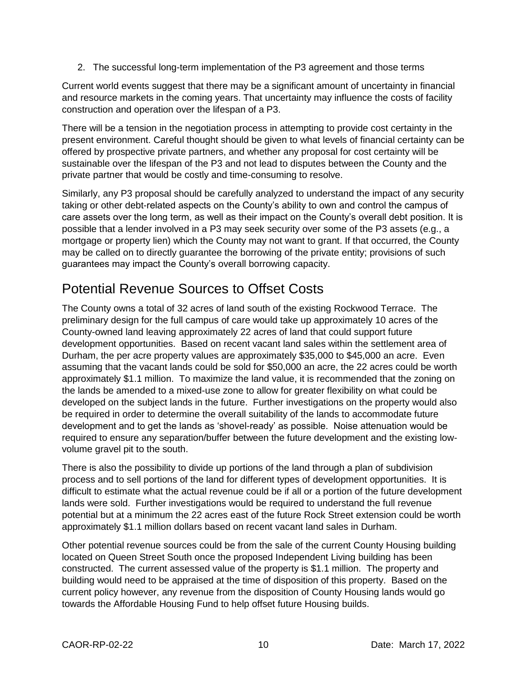2. The successful long-term implementation of the P3 agreement and those terms

Current world events suggest that there may be a significant amount of uncertainty in financial and resource markets in the coming years. That uncertainty may influence the costs of facility construction and operation over the lifespan of a P3.

There will be a tension in the negotiation process in attempting to provide cost certainty in the present environment. Careful thought should be given to what levels of financial certainty can be offered by prospective private partners, and whether any proposal for cost certainty will be sustainable over the lifespan of the P3 and not lead to disputes between the County and the private partner that would be costly and time-consuming to resolve.

Similarly, any P3 proposal should be carefully analyzed to understand the impact of any security taking or other debt-related aspects on the County's ability to own and control the campus of care assets over the long term, as well as their impact on the County's overall debt position. It is possible that a lender involved in a P3 may seek security over some of the P3 assets (e.g., a mortgage or property lien) which the County may not want to grant. If that occurred, the County may be called on to directly guarantee the borrowing of the private entity; provisions of such guarantees may impact the County's overall borrowing capacity.

## Potential Revenue Sources to Offset Costs

The County owns a total of 32 acres of land south of the existing Rockwood Terrace. The preliminary design for the full campus of care would take up approximately 10 acres of the County-owned land leaving approximately 22 acres of land that could support future development opportunities. Based on recent vacant land sales within the settlement area of Durham, the per acre property values are approximately \$35,000 to \$45,000 an acre. Even assuming that the vacant lands could be sold for \$50,000 an acre, the 22 acres could be worth approximately \$1.1 million. To maximize the land value, it is recommended that the zoning on the lands be amended to a mixed-use zone to allow for greater flexibility on what could be developed on the subject lands in the future. Further investigations on the property would also be required in order to determine the overall suitability of the lands to accommodate future development and to get the lands as 'shovel-ready' as possible. Noise attenuation would be required to ensure any separation/buffer between the future development and the existing lowvolume gravel pit to the south.

There is also the possibility to divide up portions of the land through a plan of subdivision process and to sell portions of the land for different types of development opportunities. It is difficult to estimate what the actual revenue could be if all or a portion of the future development lands were sold. Further investigations would be required to understand the full revenue potential but at a minimum the 22 acres east of the future Rock Street extension could be worth approximately \$1.1 million dollars based on recent vacant land sales in Durham.

Other potential revenue sources could be from the sale of the current County Housing building located on Queen Street South once the proposed Independent Living building has been constructed. The current assessed value of the property is \$1.1 million. The property and building would need to be appraised at the time of disposition of this property. Based on the current policy however, any revenue from the disposition of County Housing lands would go towards the Affordable Housing Fund to help offset future Housing builds.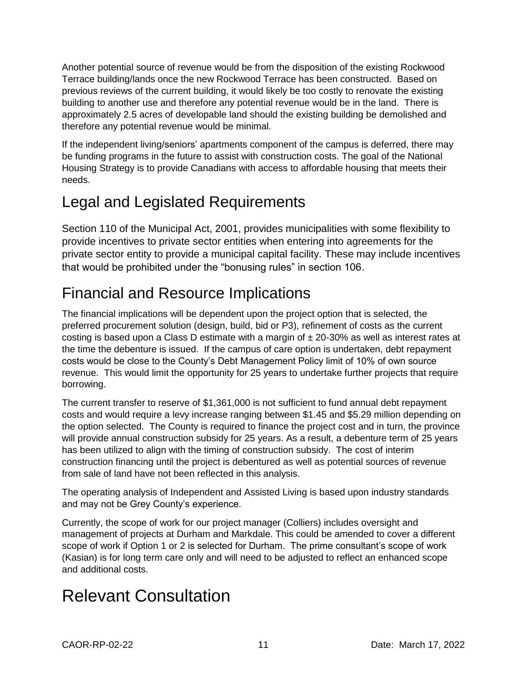Another potential source of revenue would be from the disposition of the existing Rockwood Terrace building/lands once the new Rockwood Terrace has been constructed. Based on previous reviews of the current building, it would likely be too costly to renovate the existing building to another use and therefore any potential revenue would be in the land. There is approximately 2.5 acres of developable land should the existing building be demolished and therefore any potential revenue would be minimal.

If the independent living/seniors' apartments component of the campus is deferred, there may be funding programs in the future to assist with construction costs. The goal of the National Housing Strategy is to provide Canadians with access to affordable housing that meets their needs.

# Legal and Legislated Requirements

Section 110 of the Municipal Act, 2001, provides municipalities with some flexibility to provide incentives to private sector entities when entering into agreements for the private sector entity to provide a municipal capital facility. These may include incentives that would be prohibited under the "bonusing rules" in section 106.

# Financial and Resource Implications

The financial implications will be dependent upon the project option that is selected, the preferred procurement solution (design, build, bid or P3), refinement of costs as the current costing is based upon a Class D estimate with a margin of  $\pm$  20-30% as well as interest rates at the time the debenture is issued. If the campus of care option is undertaken, debt repayment costs would be close to the County's Debt Management Policy limit of 10% of own source revenue. This would limit the opportunity for 25 years to undertake further projects that require borrowing.

The current transfer to reserve of \$1,361,000 is not sufficient to fund annual debt repayment costs and would require a levy increase ranging between \$1.45 and \$5.29 million depending on the option selected. The County is required to finance the project cost and in turn, the province will provide annual construction subsidy for 25 years. As a result, a debenture term of 25 years has been utilized to align with the timing of construction subsidy. The cost of interim construction financing until the project is debentured as well as potential sources of revenue from sale of land have not been reflected in this analysis.

The operating analysis of Independent and Assisted Living is based upon industry standards and may not be Grey County's experience.

Currently, the scope of work for our project manager (Colliers) includes oversight and management of projects at Durham and Markdale. This could be amended to cover a different scope of work if Option 1 or 2 is selected for Durham. The prime consultant's scope of work (Kasian) is for long term care only and will need to be adjusted to reflect an enhanced scope and additional costs.

# Relevant Consultation